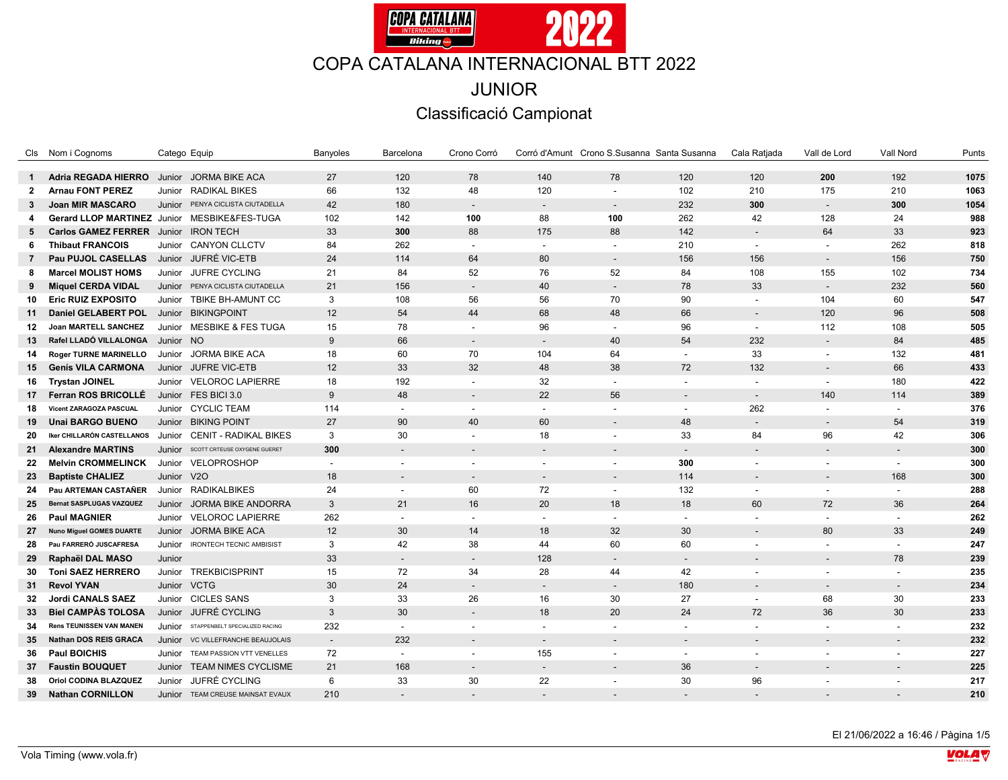

|                | Cls Nom i Cognoms                            | Catego Equip |                                     | Banyoles | Barcelona                | Crono Corró              |                          | Corró d'Amunt Crono S.Susanna Santa Susanna |                          | Cala Ratjada             | Vall de Lord             | Vall Nord | Punts |
|----------------|----------------------------------------------|--------------|-------------------------------------|----------|--------------------------|--------------------------|--------------------------|---------------------------------------------|--------------------------|--------------------------|--------------------------|-----------|-------|
| $\mathbf{1}$   | Adria REGADA HIERRO Junior JORMA BIKE ACA    |              |                                     | 27       | 120                      | 78                       | 140                      | 78                                          | 120                      | 120                      | 200                      | 192       | 1075  |
| $\overline{2}$ | <b>Arnau FONT PEREZ</b>                      | Junior       | RADIKAL BIKES                       | 66       | 132                      | 48                       | 120                      |                                             | 102                      | 210                      | 175                      | 210       | 1063  |
| $\mathbf{3}$   | <b>Joan MIR MASCARO</b>                      |              | Junior PENYA CICLISTA CIUTADELLA    | 42       | 180                      | $\sim$                   | $\sim$                   | $\overline{\phantom{a}}$                    | 232                      | 300                      | $\overline{\phantom{a}}$ | 300       | 1054  |
| 4              | Gerard LLOP MARTINEZ Junior MESBIKE&FES-TUGA |              |                                     | 102      | 142                      | 100                      | 88                       | 100                                         | 262                      | 42                       | 128                      | 24        | 988   |
| 5              | <b>Carlos GAMEZ FERRER</b>                   |              | Junior IRON TECH                    | 33       | 300                      | 88                       | 175                      | 88                                          | 142                      |                          | 64                       | 33        | 923   |
| 6              | <b>Thibaut FRANCOIS</b>                      |              | Junior CANYON CLLCTV                | 84       | 262                      | $\overline{a}$           | $\blacksquare$           | $\blacksquare$                              | 210                      | $\sim$                   | $\sim$                   | 262       | 818   |
| $\overline{7}$ | Pau PUJOL CASELLAS                           |              | Junior JUFRÉ VIC-ETB                | 24       | 114                      | 64                       | 80                       | $\overline{\phantom{a}}$                    | 156                      | 156                      | $\sim$                   | 156       | 750   |
| 8              | <b>Marcel MOLIST HOMS</b>                    |              | Junior JUFRE CYCLING                | 21       | 84                       | 52                       | 76                       | 52                                          | 84                       | 108                      | 155                      | 102       | 734   |
| 9              | <b>Miquel CERDA VIDAL</b>                    |              | Junior PENYA CICLISTA CIUTADELLA    | 21       | 156                      | $\blacksquare$           | 40                       | $\blacksquare$                              | 78                       | 33                       | $\overline{\phantom{a}}$ | 232       | 560   |
| 10             | <b>Eric RUIZ EXPOSITO</b>                    |              | Junior TBIKE BH-AMUNT CC            | 3        | 108                      | 56                       | 56                       | 70                                          | 90                       |                          | 104                      | 60        | 547   |
| 11             | Daniel GELABERT POL                          |              | Junior BIKINGPOINT                  | 12       | 54                       | 44                       | 68                       | 48                                          | 66                       |                          | 120                      | 96        | 508   |
| 12             | Joan MARTELL SANCHEZ                         |              | Junior MESBIKE & FES TUGA           | 15       | 78                       | $\blacksquare$           | 96                       | $\sim$                                      | 96                       | $\sim$                   | 112                      | 108       | 505   |
| 13             | Rafel LLADÓ VILLALONGA                       | Junior NO    |                                     | 9        | 66                       | $\overline{\phantom{a}}$ | $\overline{\phantom{a}}$ | 40                                          | 54                       | 232                      | $\overline{\phantom{a}}$ | 84        | 485   |
| 14             | <b>Roger TURNE MARINELLO</b>                 |              | Junior JORMA BIKE ACA               | 18       | 60                       | 70                       | 104                      | 64                                          | $\overline{\phantom{a}}$ | 33                       | $\overline{\phantom{a}}$ | 132       | 481   |
| 15             | <b>Genís VILA CARMONA</b>                    |              | Junior JUFRE VIC-ETB                | 12       | 33                       | 32                       | 48                       | 38                                          | 72                       | 132                      | $\overline{\phantom{a}}$ | 66        | 433   |
| 16             | <b>Trystan JOINEL</b>                        |              | Junior VELOROC LAPIERRE             | 18       | 192                      | $\overline{\phantom{0}}$ | 32                       | $\sim$                                      | $\overline{a}$           | $\sim$                   | $\sim$                   | 180       | 422   |
| 17             | Ferran ROS BRICOLLÉ                          |              | Junior FES BICI 3.0                 | 9        | 48                       | $\overline{\phantom{a}}$ | 22                       | 56                                          | $\overline{\phantom{a}}$ | $\overline{\phantom{a}}$ | 140                      | 114       | 389   |
| 18             | Vicent ZARAGOZA PASCUAL                      |              | Junior CYCLIC TEAM                  | 114      | $\sim$                   | $\blacksquare$           | $\sim$                   | $\sim$                                      | $\overline{\phantom{a}}$ | 262                      | $\sim$                   |           | 376   |
| 19             | <b>Unai BARGO BUENO</b>                      |              | Junior BIKING POINT                 | 27       | 90                       | 40                       | 60                       | $\overline{\phantom{a}}$                    | 48                       | $\sim$                   | $\overline{\phantom{a}}$ | 54        | 319   |
| 20             | Iker CHILLARÓN CASTELLANOS                   |              | Junior CENIT - RADIKAL BIKES        | 3        | 30                       | $\sim$                   | 18                       | $\overline{\phantom{a}}$                    | 33                       | 84                       | 96                       | 42        | 306   |
| 21             | <b>Alexandre MARTINS</b>                     |              | Junior SCOTT CRTEUSE OXYGENE GUERET | 300      | $\overline{\phantom{a}}$ | $\overline{\phantom{0}}$ | $\sim$                   | $\overline{a}$                              | $\overline{a}$           |                          | $\overline{\phantom{a}}$ |           | 300   |
| 22             | <b>Melvin CROMMELINCK</b>                    | Junior       | VELOPROSHOP                         |          | $\overline{a}$           | $\overline{a}$           | $\overline{\phantom{a}}$ |                                             | 300                      |                          | $\overline{\phantom{a}}$ |           | 300   |
| 23             | <b>Baptiste CHALIEZ</b>                      | Junior V2O   |                                     | 18       | $\overline{\phantom{a}}$ | $\overline{\phantom{a}}$ | $\overline{\phantom{a}}$ | $\overline{\phantom{a}}$                    | 114                      | $\overline{\phantom{a}}$ | $\overline{\phantom{a}}$ | 168       | 300   |
| 24             | Pau ARTEMAN CASTAÑER                         |              | Junior RADIKALBIKES                 | 24       | $\overline{a}$           | 60                       | 72                       | $\overline{\phantom{a}}$                    | 132                      | $\sim$                   | $\overline{\phantom{a}}$ |           | 288   |
| 25             | <b>Bernat SASPLUGAS VAZQUEZ</b>              |              | Junior JORMA BIKE ANDORRA           | 3        | 21                       | 16                       | 20                       | 18                                          | 18                       | 60                       | 72                       | 36        | 264   |
| 26             | <b>Paul MAGNIER</b>                          |              | Junior VELOROC LAPIERRE             | 262      | $\overline{a}$           | $\overline{a}$           | $\blacksquare$           | $\overline{\phantom{a}}$                    | $\sim$                   |                          | $\sim$                   |           | 262   |
| 27             | <b>Nuno Miguel GOMES DUARTE</b>              | Junior       | <b>JORMA BIKE ACA</b>               | 12       | 30                       | 14                       | 18                       | 32                                          | 30                       |                          | 80                       | 33        | 249   |
| 28             | Pau FARRERÓ JUSCAFRESA                       | Junior       | <b>IRONTECH TECNIC AMBISIST</b>     | 3        | 42                       | 38                       | 44                       | 60                                          | 60                       |                          |                          |           | 247   |
| 29             | Raphaël DAL MASO                             | Junior       |                                     | 33       | $\sim$                   | $\overline{\phantom{a}}$ | 128                      | $\overline{\phantom{a}}$                    | $\sim$                   |                          | $\overline{\phantom{a}}$ | 78        | 239   |
| 30             | <b>Toni SAEZ HERRERO</b>                     |              | Junior TREKBICISPRINT               | 15       | 72                       | 34                       | 28                       | 44                                          | 42                       | $\blacksquare$           | $\sim$                   |           | 235   |
| 31             | <b>Revol YVAN</b>                            | Junior VCTG  |                                     | 30       | 24                       | $\overline{a}$           | $\overline{\phantom{a}}$ | $\overline{a}$                              | 180                      |                          |                          |           | 234   |
| 32             | <b>Jordi CANALS SAEZ</b>                     |              | Junior CICLES SANS                  | 3        | 33                       | 26                       | 16                       | 30                                          | 27                       | $\sim$                   | 68                       | 30        | 233   |
| 33             | <b>Biel CAMPAS TOLOSA</b>                    |              | Junior JUFRÉ CYCLING                | 3        | 30                       | $\overline{a}$           | 18                       | 20                                          | 24                       | 72                       | 36                       | 30        | 233   |
| 34             | <b>Rens TEUNISSEN VAN MANEN</b>              | Junior       | STAPPENBELT SPECIALIZED RACING      | 232      |                          | L,                       | $\sim$                   | $\blacksquare$                              | $\overline{a}$           |                          | $\sim$                   |           | 232   |
| 35             | Nathan DOS REIS GRACA                        | Junior       | VC VILLEFRANCHE BEAUJOLAIS          | $\sim$   | 232                      | $\overline{\phantom{a}}$ | $\sim$                   | $\overline{\phantom{a}}$                    | $\overline{\phantom{a}}$ |                          | $\overline{\phantom{a}}$ |           | 232   |
| 36             | <b>Paul BOICHIS</b>                          |              | Junior TEAM PASSION VTT VENELLES    | 72       | $\sim$                   | $\overline{a}$           | 155                      | $\sim$                                      | $\overline{\phantom{a}}$ | $\sim$                   | $\sim$                   |           | 227   |
| 37             | <b>Faustin BOUQUET</b>                       | Junior       | <b>TEAM NIMES CYCLISME</b>          | 21       | 168                      | $\overline{\phantom{0}}$ | $\overline{\phantom{a}}$ |                                             | 36                       |                          |                          |           | 225   |
| 38             | Oriol CODINA BLAZQUEZ                        | Junior       | JUFRÉ CYCLING                       | 6        | 33                       | 30                       | 22                       | $\overline{\phantom{a}}$                    | 30                       | 96                       |                          |           | 217   |
| 39             | <b>Nathan CORNILLON</b>                      |              | Junior TEAM CREUSE MAINSAT EVAUX    | 210      |                          |                          |                          |                                             |                          |                          |                          |           | 210   |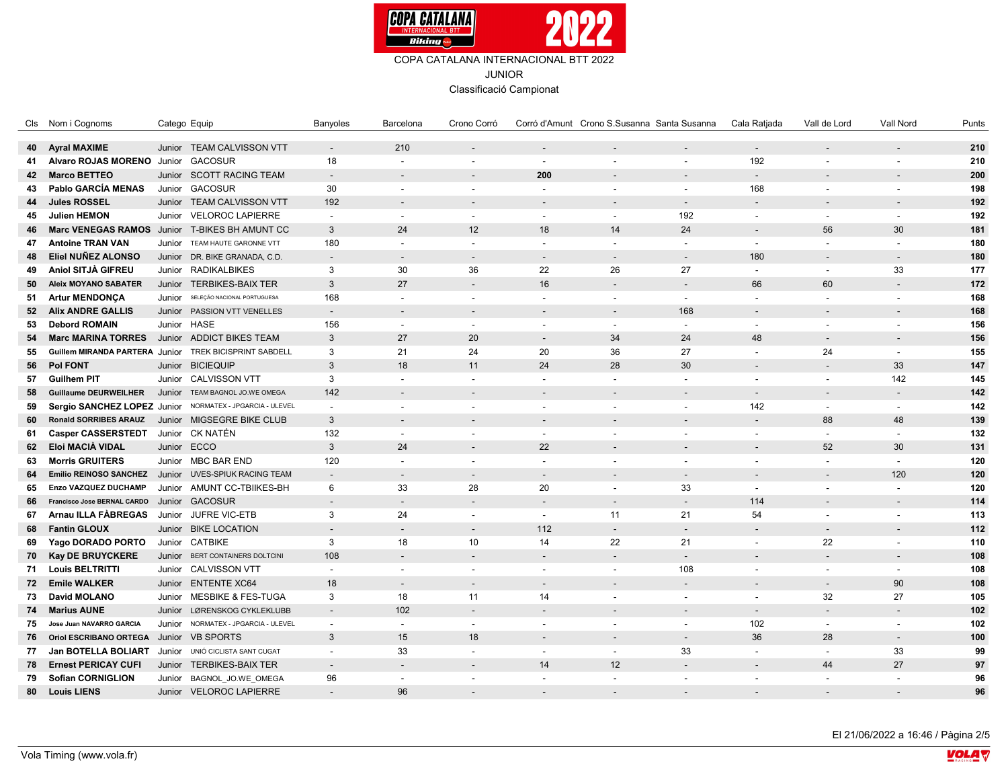

Classificació Campionat

|    | Cls Nom i Cognoms                                      |        | Catego Equip                                             | Banyoles                 | Barcelona                | Crono Corró              |                                | Corró d'Amunt Crono S.Susanna Santa Susanna |                          | Cala Ratjada             | Vall de Lord             | Vall Nord                | Punts |
|----|--------------------------------------------------------|--------|----------------------------------------------------------|--------------------------|--------------------------|--------------------------|--------------------------------|---------------------------------------------|--------------------------|--------------------------|--------------------------|--------------------------|-------|
| 40 | <b>Ayral MAXIME</b>                                    |        | Junior TEAM CALVISSON VTT                                | $\sim$                   | 210                      | $\sim$                   |                                |                                             | $\sim$                   | $\overline{\phantom{a}}$ | $\overline{a}$           |                          | 210   |
| 41 | Alvaro ROJAS MORENO Junior                             |        | <b>GACOSUR</b>                                           | 18                       | $\overline{\phantom{a}}$ | $\overline{\phantom{a}}$ | $\sim$                         |                                             | $\overline{\phantom{a}}$ | 192                      | $\overline{\phantom{a}}$ |                          | 210   |
| 42 | <b>Marco BETTEO</b>                                    |        | Junior SCOTT RACING TEAM                                 | $\overline{\phantom{a}}$ | $\overline{\phantom{a}}$ |                          | 200                            |                                             | $\overline{\phantom{a}}$ | $\overline{\phantom{a}}$ |                          |                          | 200   |
| 43 | Pablo GARCÍA MENAS                                     |        | Junior GACOSUR                                           | 30                       | $\overline{\phantom{a}}$ | $\blacksquare$           | $\sim$                         | $\overline{\phantom{a}}$                    | $\blacksquare$           | 168                      | $\sim$                   | $\overline{\phantom{a}}$ | 198   |
| 44 | <b>Jules ROSSEL</b>                                    |        | Junior TEAM CALVISSON VTT                                | 192                      |                          |                          |                                |                                             |                          |                          |                          |                          | 192   |
| 45 | <b>Julien HEMON</b>                                    |        | Junior VELOROC LAPIERRE                                  |                          | $\sim$                   | $\overline{\phantom{a}}$ |                                |                                             | 192                      | $\blacksquare$           |                          | $\overline{\phantom{a}}$ | 192   |
|    | Marc VENEGAS RAMOS Junior T-BIKES BH AMUNT CC          |        |                                                          | $\sim$<br>$\mathbf{3}$   | 24                       | 12                       | $\overline{\phantom{a}}$<br>18 | $\sim$<br>14                                | 24                       |                          | $\sim$<br>56             | 30                       | 181   |
| 46 | <b>Antoine TRAN VAN</b>                                |        | Junior TEAM HAUTE GARONNE VTT                            | 180                      | $\overline{\phantom{a}}$ | $\blacksquare$           | $\sim$                         |                                             | $\overline{a}$           | $\overline{\phantom{a}}$ |                          | $\overline{\phantom{a}}$ | 180   |
| 47 | Eliel NUÑEZ ALONSO                                     |        |                                                          |                          |                          |                          |                                |                                             |                          |                          | $\sim$                   |                          |       |
| 48 |                                                        |        | Junior DR. BIKE GRANADA, C.D.                            |                          | $\overline{\phantom{a}}$ |                          |                                |                                             |                          | 180                      |                          | $\overline{\phantom{a}}$ | 180   |
| 49 | Aniol SITJÀ GIFREU                                     |        | Junior RADIKALBIKES                                      | 3                        | 30                       | 36                       | 22                             | 26                                          | 27                       | $\sim$                   | $\sim$                   | 33                       | 177   |
| 50 | <b>Aleix MOYANO SABATER</b>                            |        | Junior TERBIKES-BAIX TER                                 | $\mathbf{3}$             | 27                       |                          | 16                             |                                             | $\blacksquare$           | 66                       | 60                       | $\overline{\phantom{a}}$ | 172   |
| 51 | <b>Artur MENDONÇA</b>                                  | Junior | SELEÇÃO NACIONAL PORTUGUESA                              | 168                      | $\sim$                   | $\overline{\phantom{a}}$ | $\sim$                         | $\overline{\phantom{a}}$                    | $\sim$                   | $\blacksquare$           | $\sim$                   | $\overline{\phantom{a}}$ | 168   |
| 52 | <b>Alix ANDRE GALLIS</b>                               |        | Junior PASSION VTT VENELLES                              | $\overline{\phantom{a}}$ | $\overline{a}$           |                          |                                |                                             | 168                      |                          |                          |                          | 168   |
| 53 | <b>Debord ROMAIN</b>                                   |        | Junior HASE                                              | 156                      | $\sim$                   | $\overline{\phantom{a}}$ | $\sim$                         | $\blacksquare$                              | $\sim$                   | $\blacksquare$           | $\overline{\phantom{a}}$ | $\overline{\phantom{a}}$ | 156   |
| 54 | <b>Marc MARINA TORRES</b>                              |        | Junior ADDICT BIKES TEAM                                 | $\mathbf{3}$             | 27                       | 20                       | $\overline{\phantom{a}}$       | 34                                          | 24                       | 48                       |                          |                          | 156   |
| 55 | Guillem MIRANDA PARTERA Junior TREK BICISPRINT SABDELL |        |                                                          | 3                        | 21                       | 24                       | 20                             | 36                                          | 27                       | $\sim$                   | 24                       | $\overline{\phantom{a}}$ | 155   |
| 56 | Pol FONT                                               |        | Junior BICIEQUIP                                         | $\mathbf{3}$             | 18                       | 11                       | 24                             | 28                                          | 30                       |                          | $\blacksquare$           | 33                       | 147   |
| 57 | <b>Guilhem PIT</b>                                     |        | Junior CALVISSON VTT                                     | 3                        | $\sim$                   | $\overline{\phantom{a}}$ | $\sim$                         | $\overline{\phantom{a}}$                    | $\overline{\phantom{a}}$ | $\blacksquare$           | $\overline{\phantom{a}}$ | 142                      | 145   |
| 58 | <b>Guillaume DEURWEILHER</b>                           |        | Junior TEAM BAGNOL JO.WE OMEGA                           | 142                      | $\overline{\phantom{a}}$ |                          | $\overline{\phantom{a}}$       |                                             | $\blacksquare$           | $\overline{\phantom{a}}$ | $\overline{\phantom{a}}$ | $\overline{\phantom{a}}$ | 142   |
| 59 |                                                        |        | Sergio SANCHEZ LOPEZ Junior NORMATEX - JPGARCIA - ULEVEL | $\overline{\phantom{a}}$ | $\overline{\phantom{a}}$ | $\overline{\phantom{a}}$ | $\overline{\phantom{a}}$       | $\overline{\phantom{a}}$                    | $\blacksquare$           | 142                      | $\blacksquare$           | $\overline{\phantom{a}}$ | 142   |
| 60 | <b>Ronald SORRIBES ARAUZ</b>                           |        | Junior MIGSEGRE BIKE CLUB                                | $\mathbf{3}$             |                          |                          |                                |                                             |                          |                          | 88                       | 48                       | 139   |
| 61 | <b>Casper CASSERSTEDT</b>                              |        | Junior CK NATÉN                                          | 132                      | $\sim$                   | $\overline{\phantom{a}}$ | $\overline{\phantom{a}}$       | $\overline{\phantom{a}}$                    | $\overline{\phantom{a}}$ | $\overline{\phantom{a}}$ | $\sim$                   | $\overline{\phantom{a}}$ | 132   |
| 62 | Eloi MACIÀ VIDAL                                       |        | Junior ECCO                                              | $\mathbf{3}$             | 24                       |                          | 22                             |                                             |                          |                          | 52                       | 30                       | 131   |
| 63 | <b>Morris GRUITERS</b>                                 |        | Junior MBC BAR END                                       | 120                      | $\sim$                   |                          | $\sim$                         |                                             | $\overline{\phantom{a}}$ | $\blacksquare$           | $\blacksquare$           | $\overline{\phantom{a}}$ | 120   |
| 64 | <b>Emilio REINOSO SANCHEZ</b>                          |        | Junior UVES-SPIUK RACING TEAM                            |                          | $\overline{\phantom{a}}$ |                          |                                |                                             |                          |                          |                          | 120                      | 120   |
| 65 | Enzo VAZQUEZ DUCHAMP                                   |        | Junior AMUNT CC-TBIIKES-BH                               | 6                        | 33                       | 28                       | 20                             | $\blacksquare$                              | 33                       | $\blacksquare$           | $\overline{\phantom{a}}$ | $\overline{\phantom{a}}$ | 120   |
| 66 | Francisco Jose BERNAL CARDO                            |        | Junior GACOSUR                                           |                          | $\overline{\phantom{a}}$ |                          | $\overline{\phantom{a}}$       | $\overline{\phantom{a}}$                    | $\blacksquare$           | 114                      |                          | $\overline{\phantom{a}}$ | 114   |
| 67 | Arnau ILLA FÀBREGAS                                    |        | Junior JUFRE VIC-ETB                                     | 3                        | 24                       | $\overline{\phantom{a}}$ | $\overline{\phantom{a}}$       | 11                                          | 21                       | 54                       | $\blacksquare$           | $\overline{\phantom{a}}$ | 113   |
| 68 | <b>Fantin GLOUX</b>                                    |        | Junior BIKE LOCATION                                     | $\overline{a}$           | $\overline{a}$           |                          | 112                            | $\overline{\phantom{a}}$                    | $\overline{a}$           |                          | $\overline{\phantom{a}}$ |                          | 112   |
| 69 | Yago DORADO PORTO                                      | Junior | <b>CATBIKE</b>                                           | 3                        | 18                       | 10                       | 14                             | 22                                          | 21                       | $\blacksquare$           | 22                       | $\overline{\phantom{a}}$ | 110   |
| 70 | <b>Kay DE BRUYCKERE</b>                                |        | Junior BERT CONTAINERS DOLTCINI                          | 108                      | $\overline{a}$           |                          | $\overline{\phantom{a}}$       |                                             | $\overline{a}$           |                          | $\overline{\phantom{a}}$ | $\overline{\phantom{a}}$ | 108   |
| 71 | <b>Louis BELTRITTI</b>                                 |        | Junior CALVISSON VTT                                     | $\sim$                   | $\blacksquare$           | $\sim$                   | $\overline{\phantom{a}}$       | $\blacksquare$                              | 108                      | $\blacksquare$           | $\blacksquare$           | $\overline{\phantom{a}}$ | 108   |
| 72 | <b>Emile WALKER</b>                                    |        | Junior ENTENTE XC64                                      | 18                       | $\overline{a}$           |                          |                                |                                             | $\overline{a}$           |                          | $\overline{a}$           | 90                       | 108   |
| 73 | David MOLANO                                           | Junior | <b>MESBIKE &amp; FES-TUGA</b>                            | 3                        | 18                       | 11                       | 14                             | $\overline{\phantom{a}}$                    | $\blacksquare$           | $\blacksquare$           | 32                       | 27                       | 105   |
| 74 | <b>Marius AUNE</b>                                     | Junior | LØRENSKOG CYKLEKLUBB                                     | $\sim$                   | 102                      |                          | $\overline{\phantom{a}}$       |                                             | $\overline{a}$           | $\overline{\phantom{a}}$ | $\overline{\phantom{a}}$ | $\overline{\phantom{a}}$ | 102   |
| 75 | Jose Juan NAVARRO GARCIA                               |        | Junior NORMATEX - JPGARCIA - ULEVEL                      | $\overline{\phantom{a}}$ | $\sim$                   | $\sim$                   | $\overline{\phantom{a}}$       | $\blacksquare$                              | $\blacksquare$           | 102                      | $\blacksquare$           |                          | 102   |
| 76 | <b>Oriol ESCRIBANO ORTEGA</b>                          |        | Junior VB SPORTS                                         | $\mathbf{3}$             | 15                       | 18                       |                                |                                             | $\overline{\phantom{a}}$ | 36                       | 28                       | $\overline{\phantom{a}}$ | 100   |
| 77 | Jan BOTELLA BOLIART                                    |        | Junior UNIÓ CICLISTA SANT CUGAT                          | $\overline{\phantom{a}}$ | 33                       | $\overline{\phantom{a}}$ | $\overline{\phantom{a}}$       | $\overline{\phantom{a}}$                    | 33                       | $\blacksquare$           | $\sim$                   | 33                       | 99    |
| 78 | <b>Ernest PERICAY CUFI</b>                             |        | Junior TERBIKES-BAIX TER                                 | $\overline{\phantom{a}}$ | $\overline{\phantom{a}}$ |                          | 14                             | 12                                          | $\overline{\phantom{a}}$ |                          | 44                       | 27                       | 97    |
| 79 | <b>Sofian CORNIGLION</b>                               |        | Junior BAGNOL JO.WE OMEGA                                | 96                       | $\sim$                   |                          |                                |                                             | $\blacksquare$           |                          | $\blacksquare$           |                          | 96    |
| 80 | <b>Louis LIENS</b>                                     |        | Junior VELOROC LAPIERRE                                  |                          | 96                       |                          |                                |                                             |                          |                          |                          |                          | 96    |
|    |                                                        |        |                                                          |                          |                          |                          |                                |                                             |                          |                          |                          |                          |       |

El 21/06/2022 a 16:46 / Pàgina 2/5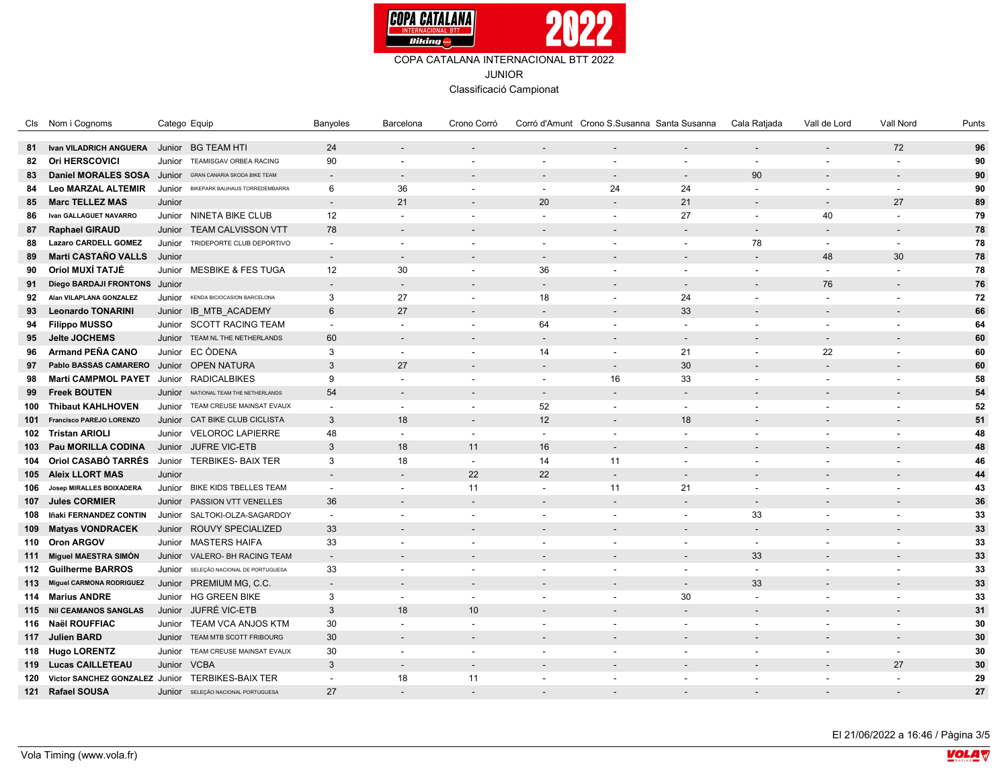

|     | Cls Nom i Cognoms               | Catego Equip                                     | Banyoles                 | Barcelona                | Crono Corró              |                                | Corró d'Amunt Crono S.Susanna Santa Susanna |                          | Cala Ratjada             | Vall de Lord             | Vall Nord                | Punts |
|-----|---------------------------------|--------------------------------------------------|--------------------------|--------------------------|--------------------------|--------------------------------|---------------------------------------------|--------------------------|--------------------------|--------------------------|--------------------------|-------|
| 81  | Ivan VILADRICH ANGUERA          | Junior BG TEAM HTI                               | 24                       |                          |                          |                                |                                             |                          |                          |                          | 72                       | 96    |
| 82  | <b>Ori HERSCOVICI</b>           | Junior<br>TEAMISGAV ORBEA RACING                 | 90                       | $\overline{a}$           | $\sim$                   | $\sim$                         |                                             | $\overline{a}$           | $\overline{\phantom{a}}$ | $\blacksquare$           |                          | 90    |
| 83  | <b>Daniel MORALES SOSA</b>      | Junior<br><b>GRAN CANARIA SKODA BIKE TEAM</b>    | $\overline{a}$           | $\overline{a}$           |                          |                                |                                             |                          | 90                       |                          |                          | 90    |
| 84  | <b>Leo MARZAL ALTEMIR</b>       | Junior BIKEPARK BAUHAUS TORREDEMBARRA            | 6                        | 36                       | $\sim$                   | $\overline{\phantom{a}}$       | 24                                          | 24                       | $\overline{\phantom{a}}$ | $\overline{\phantom{a}}$ | $\overline{\phantom{a}}$ | 90    |
| 85  | <b>Marc TELLEZ MAS</b>          | Junior                                           | $\overline{\phantom{a}}$ | 21                       |                          | 20                             |                                             | 21                       |                          | $\overline{\phantom{a}}$ | 27                       | 89    |
| 86  | Ivan GALLAGUET NAVARRO          | Junior NINETA BIKE CLUB                          | 12                       | $\overline{a}$           | $\sim$                   | $\sim$                         | $\sim$                                      | 27                       | $\overline{\phantom{a}}$ | 40                       | $\sim$                   | 79    |
| 87  | <b>Raphael GIRAUD</b>           | <b>TEAM CALVISSON VTT</b><br>Junior              | 78                       | $\overline{a}$           |                          |                                |                                             |                          | $\overline{\phantom{a}}$ | ۰                        |                          | 78    |
| 88  | <b>Lazaro CARDELL GOMEZ</b>     | TRIDEPORTE CLUB DEPORTIVO<br>Junior              | $\sim$                   | $\overline{a}$           |                          | $\overline{\phantom{a}}$       |                                             | $\overline{a}$           | 78                       | $\sim$                   |                          | 78    |
| 89  | Marti CASTAÑO VALLS             | Junior                                           | $\overline{a}$           | $\overline{a}$           |                          |                                |                                             |                          |                          | 48                       | 30                       | 78    |
| 90  | Oriol MUXÍ TATJÉ                | Junior MESBIKE & FES TUGA                        | 12                       | 30                       | $\overline{\phantom{a}}$ | 36                             | $\overline{\phantom{a}}$                    | $\overline{a}$           | $\blacksquare$           | $\overline{\phantom{a}}$ |                          | 78    |
| 91  | Diego BARDAJI FRONTONS Junior   |                                                  | $\overline{\phantom{a}}$ | $\overline{\phantom{a}}$ |                          | $\sim$                         |                                             |                          | $\overline{\phantom{a}}$ | 76                       |                          | 76    |
| 92  | Alan VILAPLANA GONZALEZ         | Junior<br>KENDA BICIOCASION BARCELONA            |                          | 27                       | $\sim$                   |                                | $\overline{\phantom{a}}$                    |                          |                          |                          |                          | 72    |
|     | <b>Leonardo TONARINI</b>        |                                                  | 3<br>6                   | 27                       |                          | 18<br>$\overline{\phantom{a}}$ |                                             | 24<br>33                 | $\blacksquare$           | $\sim$                   |                          | 66    |
| 93  |                                 | Junior IB MTB ACADEMY                            |                          | $\overline{a}$           |                          |                                |                                             | $\overline{\phantom{a}}$ |                          |                          |                          |       |
| 94  | <b>Filippo MUSSO</b>            | Junior SCOTT RACING TEAM                         | $\sim$                   |                          | $\overline{\phantom{a}}$ | 64                             | $\sim$                                      |                          | $\overline{\phantom{a}}$ | $\overline{\phantom{a}}$ | $\overline{\phantom{a}}$ | 64    |
| 95  | Jelte JOCHEMS                   | Junior<br>TEAM NL THE NETHERLANDS                | 60                       | $\overline{a}$           |                          | $\sim$                         |                                             | $\overline{\phantom{a}}$ |                          |                          |                          | 60    |
| 96  | <b>Armand PEÑA CANO</b>         | Junior EC ODENA                                  | 3                        | $\sim$                   | $\sim$                   | 14                             | $\overline{\phantom{a}}$                    | 21                       | $\blacksquare$           | 22                       |                          | 60    |
| 97  | Pablo BASSAS CAMARERO           | Junior OPEN NATURA                               | 3                        | 27                       |                          | $\sim$                         | $\overline{\phantom{a}}$                    | 30                       |                          | $\overline{a}$           |                          | 60    |
| 98  | <b>Martí CAMPMOL PAYET</b>      | Junior RADICALBIKES                              | 9                        | $\overline{a}$           | $\sim$                   | $\overline{\phantom{a}}$       | 16                                          | 33                       | $\blacksquare$           | $\overline{\phantom{a}}$ |                          | 58    |
| 99  | <b>Freek BOUTEN</b>             | Junior<br>NATIONAL TEAM THE NETHERLANDS          | 54                       | $\overline{a}$           |                          | $\sim$                         |                                             | $\overline{a}$           | $\overline{\phantom{a}}$ |                          |                          | 54    |
| 100 | <b>Thibaut KAHLHOVEN</b>        | Junior TEAM CREUSE MAINSAT EVAUX                 | $\blacksquare$           | $\sim$                   | $\sim$                   | 52                             | $\overline{\phantom{a}}$                    | $\blacksquare$           | $\blacksquare$           | $\blacksquare$           |                          | 52    |
| 101 | Francisco PAREJO LORENZO        | Junior CAT BIKE CLUB CICLISTA                    | 3                        | 18                       |                          | 12                             |                                             | 18                       |                          |                          |                          | 51    |
|     | 102 Tristan ARIOLI              | Junior VELOROC LAPIERRE                          | 48                       | $\sim$                   | $\sim$                   | $\sim$                         | $\sim$                                      | $\sim$                   | $\overline{\phantom{a}}$ | $\overline{\phantom{a}}$ |                          | 48    |
| 103 | <b>Pau MORILLA CODINA</b>       | Junior JUFRE VIC-ETB                             | 3                        | 18                       | 11                       | 16                             | $\overline{\phantom{a}}$                    | $\overline{a}$           |                          |                          |                          | 48    |
| 104 | Oriol CASABÓ TARRÉS             | <b>TERBIKES- BAIX TER</b><br>Junior              | 3                        | 18                       | $\sim$                   | 14                             | 11                                          | $\overline{a}$           | $\overline{a}$           | $\overline{a}$           |                          | 46    |
|     | 105 Aleix LLORT MAS             | Junior                                           | $\overline{\phantom{0}}$ | $\overline{\phantom{a}}$ | 22                       | 22                             |                                             |                          |                          | $\overline{\phantom{a}}$ |                          | 44    |
| 106 | Josep MIRALLES BOIXADERA        | Junior<br><b>BIKE KIDS TBELLES TEAM</b>          | $\sim$                   | $\overline{a}$           | 11                       | $\overline{\phantom{a}}$       | 11                                          | 21                       | $\overline{a}$           | $\overline{\phantom{a}}$ |                          | 43    |
| 107 | <b>Jules CORMIER</b>            | PASSION VTT VENELLES<br>Junior                   | 36                       | $\overline{\phantom{a}}$ | $\sim$                   | $\overline{\phantom{a}}$       | $\overline{\phantom{a}}$                    | $\overline{a}$           | $\overline{\phantom{a}}$ | $\overline{\phantom{a}}$ |                          | 36    |
| 108 | Iñaki FERNANDEZ CONTIN          | Junior<br>SALTOKI-OLZA-SAGARDOY                  | $\overline{a}$           | $\overline{a}$           | $\overline{\phantom{a}}$ | $\overline{\phantom{a}}$       | $\sim$                                      | $\overline{\phantom{a}}$ | 33                       | $\overline{\phantom{a}}$ |                          | 33    |
| 109 | <b>Matyas VONDRACEK</b>         | Junior ROUVY SPECIALIZED                         | 33                       |                          |                          |                                |                                             |                          |                          |                          |                          | 33    |
|     | 110 Oron ARGOV                  | Junior MASTERS HAIFA                             | 33                       | $\overline{a}$           | $\sim$                   | $\overline{\phantom{a}}$       | $\sim$                                      | $\overline{a}$           | $\overline{\phantom{a}}$ | $\overline{\phantom{a}}$ | $\overline{\phantom{a}}$ | 33    |
| 111 | Miguel MAESTRA SIMÓN            | VALERO- BH RACING TEAM<br>Junior                 | $\overline{\phantom{a}}$ | $\overline{\phantom{a}}$ |                          |                                |                                             | $\overline{\phantom{a}}$ | 33                       |                          |                          | 33    |
|     | 112 Guilherme BARROS            | Junior<br>SELEÇÃO NACIONAL DE PORTUGUESA         | 33                       | $\overline{a}$           |                          | $\overline{\phantom{a}}$       | $\overline{\phantom{a}}$                    | $\overline{a}$           | $\overline{\phantom{a}}$ | $\overline{a}$           |                          | 33    |
| 113 | <b>Miguel CARMONA RODRIGUEZ</b> | Junior PREMIUM MG, C.C.                          | $\overline{\phantom{0}}$ | $\overline{\phantom{a}}$ |                          |                                |                                             |                          | 33                       |                          |                          | 33    |
|     | 114 Marius ANDRE                | Junior HG GREEN BIKE                             | 3                        | $\overline{a}$           | $\sim$                   |                                | $\overline{\phantom{a}}$                    | 30                       | $\overline{a}$           | $\overline{a}$           |                          | 33    |
|     | 115 Nil CEAMANOS SANGLAS        | JUFRÉ VIC-ETB<br>Junior                          | 3                        | 18                       | 10                       |                                |                                             | $\overline{a}$           | $\overline{\phantom{a}}$ | $\overline{\phantom{a}}$ |                          | 31    |
|     | 116 Naël ROUFFIAC               | TEAM VCA ANJOS KTM<br>Junior                     | 30                       | $\overline{a}$           | $\blacksquare$           | $\overline{\phantom{a}}$       | $\overline{\phantom{a}}$                    | $\overline{a}$           | $\overline{\phantom{a}}$ | $\overline{\phantom{a}}$ |                          | 30    |
|     | 117 Julien BARD                 | TEAM MTB SCOTT FRIBOURG<br>Junior                | 30                       | $\overline{\phantom{0}}$ |                          |                                |                                             |                          |                          |                          |                          | 30    |
|     | 118 Hugo LORENTZ                | Junior TEAM CREUSE MAINSAT EVAUX                 | 30                       | $\overline{a}$           | $\blacksquare$           | $\overline{\phantom{a}}$       | $\sim$                                      | $\overline{a}$           | $\overline{\phantom{a}}$ | $\overline{\phantom{a}}$ | $\overline{\phantom{a}}$ | 30    |
|     | 119 Lucas CAILLETEAU            | <b>VCBA</b><br>Junior                            | 3                        | $\sim$                   |                          |                                |                                             |                          |                          |                          | 27                       | 30    |
| 120 |                                 | Victor SANCHEZ GONZALEZ Junior TERBIKES-BAIX TER | $\overline{a}$           | 18                       | 11                       |                                |                                             | $\overline{a}$           |                          | $\overline{\phantom{a}}$ |                          | 29    |
|     | 121 Rafael SOUSA                | Junior SELEÇÃO NACIONAL PORTUGUESA               | 27                       |                          |                          |                                |                                             |                          |                          |                          |                          | 27    |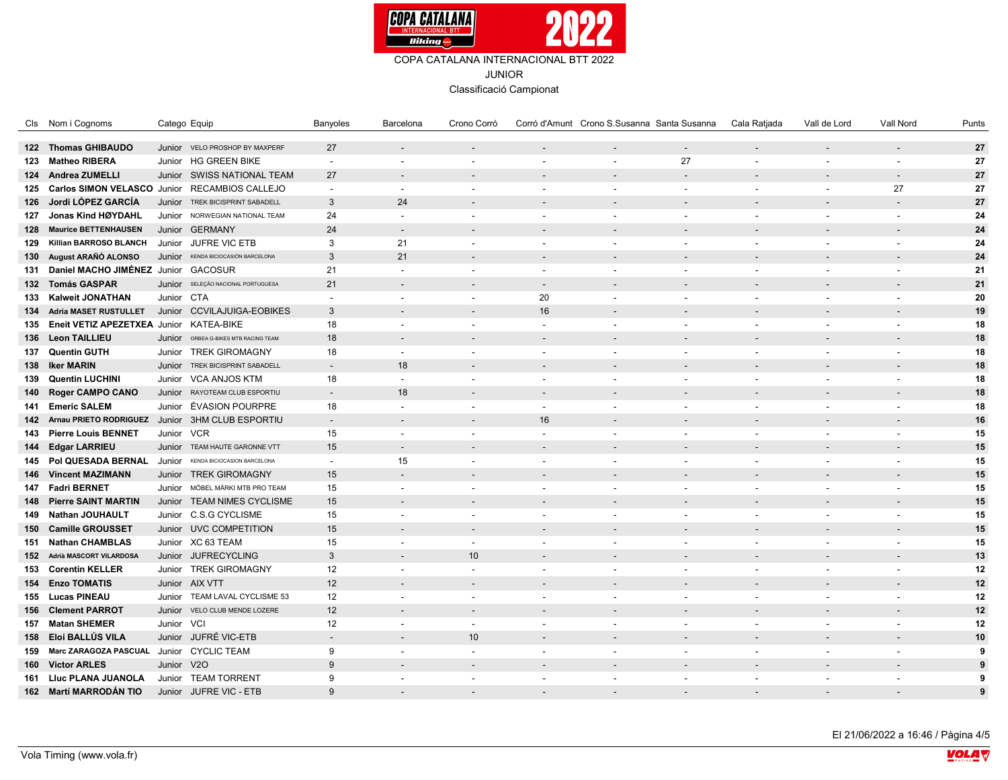

|     | Cls Nom i Cognoms                                 | Catego Equip                            | Banyoles                 | Barcelona                | Crono Corró              |                          | Corró d'Amunt Crono S.Susanna Santa Susanna |                          | Cala Ratjada             | Vall de Lord             | Vall Nord                | Punts |
|-----|---------------------------------------------------|-----------------------------------------|--------------------------|--------------------------|--------------------------|--------------------------|---------------------------------------------|--------------------------|--------------------------|--------------------------|--------------------------|-------|
|     | 122 Thomas GHIBAUDO                               | Junior VELO PROSHOP BY MAXPERF          | 27                       | $\overline{\phantom{a}}$ |                          |                          |                                             | $\sim$                   | $\overline{\phantom{a}}$ | $\overline{\phantom{a}}$ |                          | 27    |
|     | 123 Matheo RIBERA                                 | Junior HG GREEN BIKE                    | $\overline{\phantom{a}}$ | $\overline{\phantom{a}}$ | $\sim$                   | $\overline{\phantom{a}}$ | $\overline{\phantom{a}}$                    | 27                       | $\overline{\phantom{a}}$ | $\blacksquare$           |                          | 27    |
|     | 124 Andrea ZUMELLI                                | Junior SWISS NATIONAL TEAM              | 27                       | $\overline{\phantom{a}}$ |                          |                          |                                             |                          |                          |                          |                          | 27    |
|     | 125 Carlos SIMON VELASCO Junior RECAMBIOS CALLEJO |                                         | $\blacksquare$           | $\sim$                   | $\sim$                   | $\overline{\phantom{a}}$ | $\overline{\phantom{a}}$                    | $\blacksquare$           | $\blacksquare$           | $\sim$                   | 27                       | 27    |
| 126 | Jordi LÓPEZ GARCÍA                                | Junior<br>TREK BICISPRINT SABADELL      | 3                        | 24                       |                          |                          |                                             |                          |                          |                          |                          | 27    |
|     | 127 Jonas Kind HØYDAHL                            | Junior NORWEGIAN NATIONAL TEAM          | 24                       | $\overline{\phantom{a}}$ |                          | $\overline{\phantom{a}}$ | $\overline{\phantom{a}}$                    | $\overline{\phantom{a}}$ | $\blacksquare$           | $\overline{\phantom{a}}$ | $\sim$                   | 24    |
|     |                                                   | Junior GERMANY                          | 24                       | $\sim$                   |                          |                          |                                             |                          |                          |                          |                          | 24    |
|     | 128 Maurice BETTENHAUSEN                          | Junior JUFRE VIC ETB                    |                          |                          |                          |                          |                                             |                          |                          |                          |                          |       |
| 129 | Killian BARROSO BLANCH                            |                                         | 3<br>3                   | 21<br>21                 |                          | $\overline{\phantom{a}}$ | $\overline{\phantom{a}}$                    | $\overline{\phantom{a}}$ | $\blacksquare$           | $\blacksquare$           |                          | 24    |
|     | 130 August ARAÑÓ ALONSO                           | Junior<br>KENDA BICIOCASIÓN BARCELONA   |                          |                          |                          |                          |                                             |                          |                          |                          |                          | 24    |
|     | 131 Daniel MACHO JIMÉNEZ Junior GACOSUR           |                                         | 21                       | $\overline{\phantom{a}}$ |                          | $\overline{\phantom{a}}$ | $\overline{\phantom{a}}$                    | $\overline{\phantom{a}}$ | $\blacksquare$           | $\overline{\phantom{a}}$ |                          | 21    |
|     | 132 Tomás GASPAR                                  | Junior SELEÇÃO NACIONAL PORTUGUESA      | 21                       | $\overline{a}$           |                          | $\overline{\phantom{a}}$ |                                             |                          |                          |                          |                          | 21    |
|     | 133 Kalweit JONATHAN                              | Junior CTA                              | $\overline{\phantom{a}}$ | $\sim$                   | $\sim$                   | 20                       | $\overline{\phantom{a}}$                    | $\blacksquare$           | $\blacksquare$           | $\blacksquare$           |                          | 20    |
|     | 134 Adria MASET RUSTULLET                         | Junior CCVILAJUIGA-EOBIKES              | 3                        |                          |                          | 16                       |                                             |                          |                          |                          |                          | 19    |
|     | 135 Eneit VETIZ APEZETXEA Junior KATEA-BIKE       |                                         | 18                       | $\sim$                   | $\overline{\phantom{a}}$ | $\overline{\phantom{a}}$ | $\overline{\phantom{a}}$                    | $\blacksquare$           | $\overline{\phantom{a}}$ | $\overline{\phantom{a}}$ | $\overline{\phantom{a}}$ | 18    |
|     | 136 Leon TAILLIEU                                 | ORBEA G-BIKES MTB RACING TEAM<br>Junior | 18                       | $\overline{\phantom{a}}$ |                          |                          |                                             |                          |                          |                          |                          | 18    |
|     | 137 Quentin GUTH                                  | Junior TREK GIROMAGNY                   | 18                       | $\sim$                   |                          | $\overline{\phantom{a}}$ |                                             | $\blacksquare$           | $\blacksquare$           | $\overline{\phantom{a}}$ |                          | 18    |
|     | 138 Iker MARIN                                    | TREK BICISPRINT SABADELL<br>Junior      | $\overline{\phantom{a}}$ | 18                       |                          |                          |                                             |                          |                          |                          |                          | 18    |
|     | 139 Quentin LUCHINI                               | <b>VCA ANJOS KTM</b><br>Junior          | 18                       | $\overline{\phantom{a}}$ |                          | $\overline{\phantom{a}}$ |                                             | $\overline{\phantom{a}}$ | $\overline{\phantom{a}}$ | $\overline{\phantom{a}}$ |                          | 18    |
|     | 140 Roger CAMPO CANO                              | Junior RAYOTEAM CLUB ESPORTIU           | $\overline{a}$           | 18                       |                          |                          |                                             |                          |                          |                          |                          | 18    |
|     | 141 Emeric SALEM                                  | ÉVASION POURPRE<br>Junior               | 18                       | $\sim$                   | $\blacksquare$           | $\sim$                   | $\overline{\phantom{a}}$                    | $\blacksquare$           | $\blacksquare$           | $\blacksquare$           |                          | 18    |
|     | 142 Arnau PRIETO RODRIGUEZ                        | <b>3HM CLUB ESPORTIU</b><br>Junior      | $\overline{\phantom{a}}$ |                          |                          | 16                       |                                             |                          |                          |                          |                          | 16    |
|     | 143 Pierre Louis BENNET                           | <b>VCR</b><br>Junior                    | 15                       | $\sim$                   |                          | $\overline{\phantom{a}}$ | $\overline{\phantom{a}}$                    | $\overline{\phantom{a}}$ | $\overline{\phantom{a}}$ | $\blacksquare$           | $\overline{\phantom{a}}$ | 15    |
|     | 144 Edgar LARRIEU                                 | Junior TEAM HAUTE GARONNE VTT           | 15                       | $\sim$                   |                          |                          |                                             |                          |                          |                          |                          | 15    |
|     | 145 Pol QUESADA BERNAL                            | Junior KENDA BICIOCASION BARCELONA      | $\overline{a}$           | 15                       |                          | $\overline{\phantom{a}}$ |                                             | $\overline{a}$           | $\overline{a}$           | $\overline{\phantom{a}}$ |                          | 15    |
|     | 146 Vincent MAZIMANN                              | Junior TREK GIROMAGNY                   | 15                       | $\blacksquare$           |                          |                          |                                             |                          |                          |                          |                          | 15    |
|     | 147 Fadri BERNET                                  | MÖBEL MÄRKI MTB PRO TEAM<br>Junior      | 15                       | $\overline{\phantom{a}}$ |                          | $\overline{\phantom{a}}$ | $\blacksquare$                              |                          | $\blacksquare$           |                          |                          | 15    |
| 148 | <b>Pierre SAINT MARTIN</b>                        | Junior TEAM NIMES CYCLISME              | 15                       | $\sim$                   |                          |                          |                                             |                          |                          |                          |                          | 15    |
|     | 149 Nathan JOUHAULT                               | Junior C.S.G CYCLISME                   | 15                       | $\sim$                   | $\blacksquare$           | $\overline{\phantom{a}}$ | $\overline{\phantom{a}}$                    | $\overline{a}$           | $\overline{\phantom{a}}$ | $\sim$                   |                          | 15    |
|     | 150 Camille GROUSSET                              | Junior UVC COMPETITION                  | 15                       |                          |                          |                          |                                             |                          |                          |                          |                          | 15    |
|     | 151 Nathan CHAMBLAS                               | Junior XC 63 TEAM                       | 15                       | $\sim$                   | $\overline{\phantom{a}}$ | $\overline{\phantom{a}}$ | $\overline{\phantom{a}}$                    | $\overline{\phantom{a}}$ | $\blacksquare$           | $\overline{\phantom{a}}$ | $\overline{\phantom{a}}$ | 15    |
|     | 152 Adrià MASCORT VILARDOSA                       | Junior JUFRECYCLING                     | 3                        | $\sim$                   | 10                       |                          |                                             |                          |                          |                          |                          | 13    |
|     | 153 Corentin KELLER                               | Junior TREK GIROMAGNY                   | 12                       | $\sim$                   | $\sim$                   | $\overline{\phantom{a}}$ | $\overline{\phantom{a}}$                    | $\blacksquare$           | $\blacksquare$           | $\blacksquare$           |                          | 12    |
|     | 154 Enzo TOMATIS                                  | Junior AIX VTT                          | 12                       | $\overline{a}$           |                          |                          |                                             |                          |                          |                          |                          | 12    |
|     | 155 Lucas PINEAU                                  | TEAM LAVAL CYCLISME 53<br>Junior        | 12                       | $\overline{\phantom{a}}$ | $\overline{\phantom{a}}$ |                          |                                             |                          | $\blacksquare$           | $\blacksquare$           |                          | 12    |
|     | 156 Clement PARROT                                | VELO CLUB MENDE LOZERE<br>Junior        | 12                       | $\overline{a}$           |                          |                          |                                             |                          |                          |                          |                          | 12    |
|     | 157 Matan SHEMER                                  | Junior VCI                              | 12                       | $\sim$                   | $\overline{\phantom{a}}$ | $\overline{\phantom{a}}$ | $\overline{\phantom{a}}$                    | $\overline{a}$           | $\blacksquare$           | $\blacksquare$           |                          | 12    |
|     | 158 Eloi BALLÚS VILA                              | JUFRÉ VIC-ETB                           | $\overline{\phantom{0}}$ |                          | 10                       |                          |                                             |                          |                          |                          |                          | 10    |
|     | 159 Marc ZARAGOZA PASCUAL Junior CYCLIC TEAM      | Junior                                  |                          |                          | $\overline{\phantom{a}}$ |                          |                                             |                          |                          |                          |                          |       |
|     |                                                   |                                         | 9                        | $\sim$                   |                          | $\overline{\phantom{a}}$ | $\overline{\phantom{a}}$                    | $\overline{\phantom{a}}$ | $\blacksquare$           | $\overline{\phantom{a}}$ |                          | 9     |
|     | 160 Victor ARLES                                  | Junior V2O                              | 9                        | $\overline{\phantom{a}}$ |                          |                          |                                             |                          |                          |                          |                          | 9     |
|     | 161 Liuc PLANA JUANOLA                            | Junior TEAM TORRENT                     | 9                        | $\overline{\phantom{a}}$ | $\blacksquare$           | $\overline{\phantom{a}}$ | $\overline{\phantom{a}}$                    | $\overline{a}$           | $\blacksquare$           | $\overline{\phantom{a}}$ |                          | 9     |
|     | 162 Martí MARRODÁN TIO                            | <b>JUFRE VIC - ETB</b><br>Junior        | q                        |                          |                          |                          |                                             |                          |                          |                          |                          | 9     |